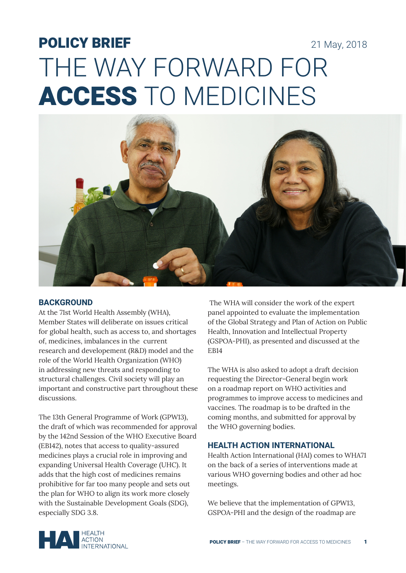# POLICY BRIEF 21 May, 2018 THE WAY FORWARD FOR ACCESS TO MEDICINES



## **BACKGROUND**

At the 71st World Health Assembly (WHA), Member States will deliberate on issues critical for global health, such as access to, and shortages of, medicines, imbalances in the current research and developement (R&D) model and the role of the World Health Organization (WHO) in addressing new threats and responding to structural challenges. Civil society will play an important and constructive part throughout these discussions.

The 13th General Programme of Work (GPW13), the draft of which was recommended for approval by the 142nd Session of the WHO Executive Board (EB142), notes that access to quality-assured medicines plays a crucial role in improving and expanding Universal Health Coverage (UHC). It adds that the high cost of medicines remains prohibitive for far too many people and sets out the plan for WHO to align its work more closely with the Sustainable Development Goals (SDG), especially SDG 3.8.

 The WHA will consider the work of the expert panel appointed to evaluate the implementation of the Global Strategy and Plan of Action on Public Health, Innovation and Intellectual Property (GSPOA-PHI), as presented and discussed at the EB14

The WHA is also asked to adopt a draft decision requesting the Director-General begin work on a roadmap report on WHO activities and programmes to improve access to medicines and vaccines. The roadmap is to be drafted in the coming months, and submitted for approval by the WHO governing bodies.

## **HEALTH ACTION INTERNATIONAL**

Health Action International (HAI) comes to WHA71 on the back of a series of interventions made at various WHO governing bodies and other ad hoc meetings.

We believe that the implementation of GPW13, GSPOA-PHI and the design of the roadmap are

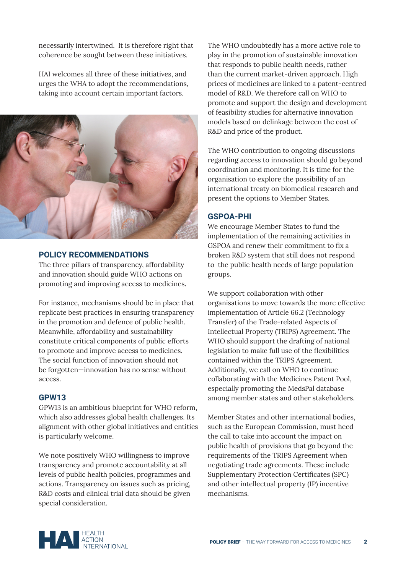necessarily intertwined. It is therefore right that coherence be sought between these initiatives.

HAI welcomes all three of these initiatives, and urges the WHA to adopt the recommendations, taking into account certain important factors.



#### **POLICY RECOMMENDATIONS**

The three pillars of transparency, affordability and innovation should guide WHO actions on promoting and improving access to medicines.

For instance, mechanisms should be in place that replicate best practices in ensuring transparency in the promotion and defence of public health. Meanwhile, affordability and sustainability constitute critical components of public efforts to promote and improve access to medicines. The social function of innovation should not be forgotten—innovation has no sense without access.

## **GPW13**

GPW13 is an ambitious blueprint for WHO reform, which also addresses global health challenges. Its alignment with other global initiatives and entities is particularly welcome.

We note positively WHO willingness to improve transparency and promote accountability at all levels of public health policies, programmes and actions. Transparency on issues such as pricing, R&D costs and clinical trial data should be given special consideration.

The WHO undoubtedly has a more active role to play in the promotion of sustainable innovation that responds to public health needs, rather than the current market-driven approach. High prices of medicines are linked to a patent-centred model of R&D. We therefore call on WHO to promote and support the design and development of feasibility studies for alternative innovation models based on delinkage between the cost of R&D and price of the product.

The WHO contribution to ongoing discussions regarding access to innovation should go beyond coordination and monitoring. It is time for the organisation to explore the possibility of an international treaty on biomedical research and present the options to Member States.

# **GSPOA-PHI**

We encourage Member States to fund the implementation of the remaining activities in GSPOA and renew their commitment to fix a broken R&D system that still does not respond to the public health needs of large population groups.

We support collaboration with other organisations to move towards the more effective implementation of Article 66.2 (Technology Transfer) of the Trade-related Aspects of Intellectual Property (TRIPS) Agreement. The WHO should support the drafting of national legislation to make full use of the flexibilities contained within the TRIPS Agreement. Additionally, we call on WHO to continue collaborating with the Medicines Patent Pool, especially promoting the MedsPal database among member states and other stakeholders.

Member States and other international bodies, such as the European Commission, must heed the call to take into account the impact on public health of provisions that go beyond the requirements of the TRIPS Agreement when negotiating trade agreements. These include Supplementary Protection Certificates (SPC) and other intellectual property (IP) incentive mechanisms.